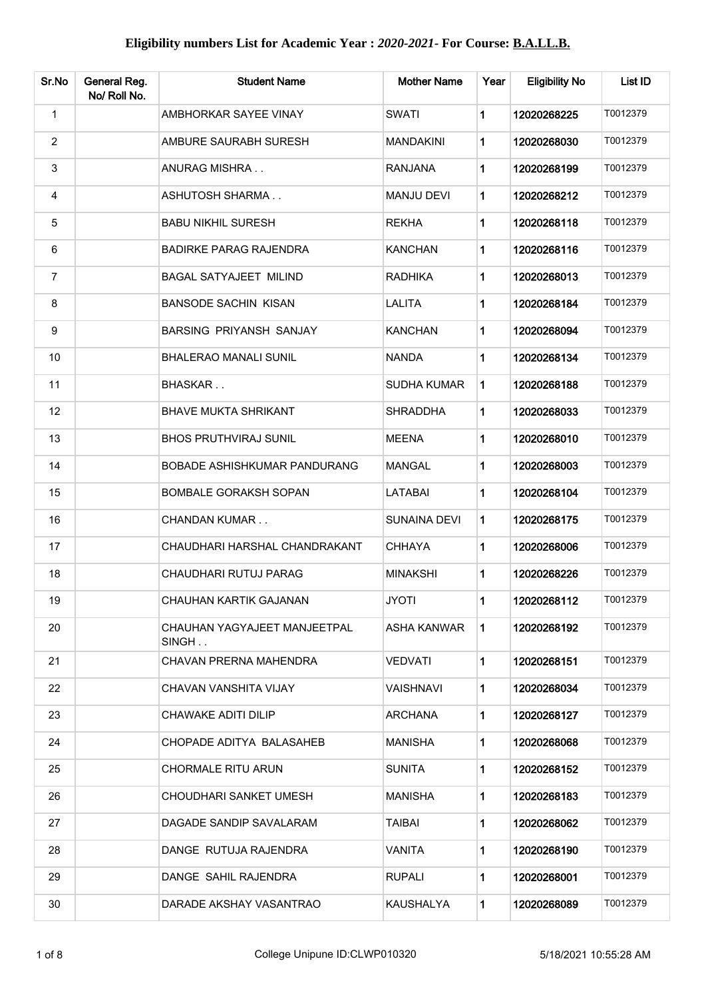| Sr.No          | General Reg.<br>No/ Roll No. | <b>Student Name</b>                   | <b>Mother Name</b>  | Year | <b>Eligibility No</b> | List ID  |
|----------------|------------------------------|---------------------------------------|---------------------|------|-----------------------|----------|
| $\mathbf{1}$   |                              | AMBHORKAR SAYEE VINAY                 | <b>SWATI</b>        | 1    | 12020268225           | T0012379 |
| $\overline{2}$ |                              | AMBURE SAURABH SURESH                 | <b>MANDAKINI</b>    | 1    | 12020268030           | T0012379 |
| 3              |                              | ANURAG MISHRA                         | <b>RANJANA</b>      | 1    | 12020268199           | T0012379 |
| 4              |                              | ASHUTOSH SHARMA                       | <b>MANJU DEVI</b>   | 1    | 12020268212           | T0012379 |
| 5              |                              | <b>BABU NIKHIL SURESH</b>             | <b>REKHA</b>        | 1    | 12020268118           | T0012379 |
| 6              |                              | <b>BADIRKE PARAG RAJENDRA</b>         | <b>KANCHAN</b>      | 1    | 12020268116           | T0012379 |
| $\overline{7}$ |                              | <b>BAGAL SATYAJEET MILIND</b>         | RADHIKA             | 1    | 12020268013           | T0012379 |
| 8              |                              | <b>BANSODE SACHIN KISAN</b>           | <b>LALITA</b>       | 1    | 12020268184           | T0012379 |
| 9              |                              | <b>BARSING PRIYANSH SANJAY</b>        | KANCHAN             | 1    | 12020268094           | T0012379 |
| 10             |                              | <b>BHALERAO MANALI SUNIL</b>          | <b>NANDA</b>        | 1    | 12020268134           | T0012379 |
| 11             |                              | BHASKAR                               | <b>SUDHA KUMAR</b>  | 1    | 12020268188           | T0012379 |
| 12             |                              | <b>BHAVE MUKTA SHRIKANT</b>           | <b>SHRADDHA</b>     | 1    | 12020268033           | T0012379 |
| 13             |                              | <b>BHOS PRUTHVIRAJ SUNIL</b>          | <b>MEENA</b>        | 1    | 12020268010           | T0012379 |
| 14             |                              | BOBADE ASHISHKUMAR PANDURANG          | <b>MANGAL</b>       | 1    | 12020268003           | T0012379 |
| 15             |                              | BOMBALE GORAKSH SOPAN                 | <b>LATABAI</b>      | 1    | 12020268104           | T0012379 |
| 16             |                              | <b>CHANDAN KUMAR</b>                  | <b>SUNAINA DEVI</b> | 1    | 12020268175           | T0012379 |
| 17             |                              | CHAUDHARI HARSHAL CHANDRAKANT         | <b>CHHAYA</b>       | 1    | 12020268006           | T0012379 |
| 18             |                              | CHAUDHARI RUTUJ PARAG                 | <b>MINAKSHI</b>     | 1    | 12020268226           | T0012379 |
| 19             |                              | CHAUHAN KARTIK GAJANAN                | <b>JYOTI</b>        |      | 12020268112           | T0012379 |
| 20             |                              | CHAUHAN YAGYAJEET MANJEETPAL<br>SINGH | ASHA KANWAR         | 1.   | 12020268192           | T0012379 |
| 21             |                              | CHAVAN PRERNA MAHENDRA                | VEDVATI             | 1    | 12020268151           | T0012379 |
| 22             |                              | CHAVAN VANSHITA VIJAY                 | <b>VAISHNAVI</b>    | 1.   | 12020268034           | T0012379 |
| 23             |                              | CHAWAKE ADITI DILIP                   | <b>ARCHANA</b>      | 1    | 12020268127           | T0012379 |
| 24             |                              | CHOPADE ADITYA BALASAHEB              | <b>MANISHA</b>      | 1    | 12020268068           | T0012379 |
| 25             |                              | <b>CHORMALE RITU ARUN</b>             | <b>SUNITA</b>       | 1    | 12020268152           | T0012379 |
| 26             |                              | CHOUDHARI SANKET UMESH                | <b>MANISHA</b>      | 1    | 12020268183           | T0012379 |
| 27             |                              | DAGADE SANDIP SAVALARAM               | TAIBAI              | 1    | 12020268062           | T0012379 |
| 28             |                              | DANGE RUTUJA RAJENDRA                 | VANITA              | 1    | 12020268190           | T0012379 |
| 29             |                              | DANGE SAHIL RAJENDRA                  | <b>RUPALI</b>       | 1    | 12020268001           | T0012379 |
| 30             |                              | DARADE AKSHAY VASANTRAO               | KAUSHALYA           | 1    | 12020268089           | T0012379 |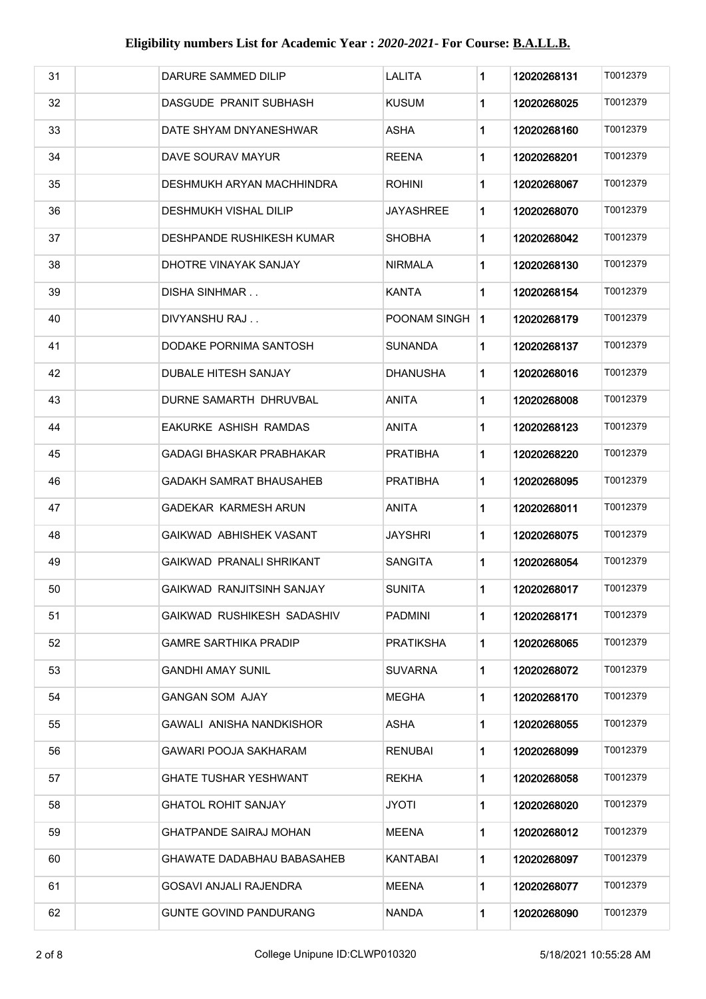| 31 | DARURE SAMMED DILIP             | <b>LALITA</b>    | 1         | 12020268131 | T0012379 |
|----|---------------------------------|------------------|-----------|-------------|----------|
| 32 | DASGUDE PRANIT SUBHASH          | <b>KUSUM</b>     | 1         | 12020268025 | T0012379 |
| 33 | DATE SHYAM DNYANESHWAR          | <b>ASHA</b>      | 1         | 12020268160 | T0012379 |
| 34 | DAVE SOURAV MAYUR               | <b>REENA</b>     | 1         | 12020268201 | T0012379 |
| 35 | DESHMUKH ARYAN MACHHINDRA       | <b>ROHINI</b>    | 1         | 12020268067 | T0012379 |
| 36 | DESHMUKH VISHAL DILIP           | JAYASHREE        | 1         | 12020268070 | T0012379 |
| 37 | DESHPANDE RUSHIKESH KUMAR       | SHOBHA           | 1         | 12020268042 | T0012379 |
| 38 | DHOTRE VINAYAK SANJAY           | NIRMALA          | 1         | 12020268130 | T0012379 |
| 39 | DISHA SINHMAR                   | <b>KANTA</b>     | 1         | 12020268154 | T0012379 |
| 40 | DIVYANSHU RAJ                   | POONAM SINGH     | $\vert$ 1 | 12020268179 | T0012379 |
| 41 | DODAKE PORNIMA SANTOSH          | SUNANDA          | 1         | 12020268137 | T0012379 |
| 42 | <b>DUBALE HITESH SANJAY</b>     | DHANUSHA         | 1         | 12020268016 | T0012379 |
| 43 | DURNE SAMARTH DHRUVBAL          | ANITA            | 1         | 12020268008 | T0012379 |
| 44 | EAKURKE ASHISH RAMDAS           | ANITA            | 1         | 12020268123 | T0012379 |
| 45 | <b>GADAGI BHASKAR PRABHAKAR</b> | PRATIBHA         | 1         | 12020268220 | T0012379 |
| 46 | GADAKH SAMRAT BHAUSAHEB         | <b>PRATIBHA</b>  | 1         | 12020268095 | T0012379 |
| 47 | GADEKAR KARMESH ARUN            | ANITA            | 1         | 12020268011 | T0012379 |
| 48 | GAIKWAD ABHISHEK VASANT         | JAYSHRI          | 1         | 12020268075 | T0012379 |
| 49 | GAIKWAD PRANALI SHRIKANT        | SANGITA          | 1         | 12020268054 | T0012379 |
| 50 | GAIKWAD RANJITSINH SANJAY       | <b>SUNITA</b>    | 1         | 12020268017 | T0012379 |
| 51 | GAIKWAD RUSHIKESH SADASHIV      | <b>PADMINI</b>   | 1         | 12020268171 | T0012379 |
| 52 | <b>GAMRE SARTHIKA PRADIP</b>    | <b>PRATIKSHA</b> | 1.        | 12020268065 | T0012379 |
| 53 | <b>GANDHI AMAY SUNIL</b>        | SUVARNA          | 1         | 12020268072 | T0012379 |
| 54 | <b>GANGAN SOM AJAY</b>          | MEGHA            | 1         | 12020268170 | T0012379 |
| 55 | GAWALI ANISHA NANDKISHOR        | ASHA             | 1         | 12020268055 | T0012379 |
| 56 | GAWARI POOJA SAKHARAM           | <b>RENUBAI</b>   | 1         | 12020268099 | T0012379 |
| 57 | GHATE TUSHAR YESHWANT           | <b>REKHA</b>     | 1         | 12020268058 | T0012379 |
| 58 | <b>GHATOL ROHIT SANJAY</b>      | JYOTI            | 1         | 12020268020 | T0012379 |
| 59 | GHATPANDE SAIRAJ MOHAN          | MEENA            | 1         | 12020268012 | T0012379 |
| 60 | GHAWATE DADABHAU BABASAHEB      | KANTABAI         | 1         | 12020268097 | T0012379 |
| 61 | <b>GOSAVI ANJALI RAJENDRA</b>   | MEENA            | 1         | 12020268077 | T0012379 |
| 62 | <b>GUNTE GOVIND PANDURANG</b>   | <b>NANDA</b>     | 1         | 12020268090 | T0012379 |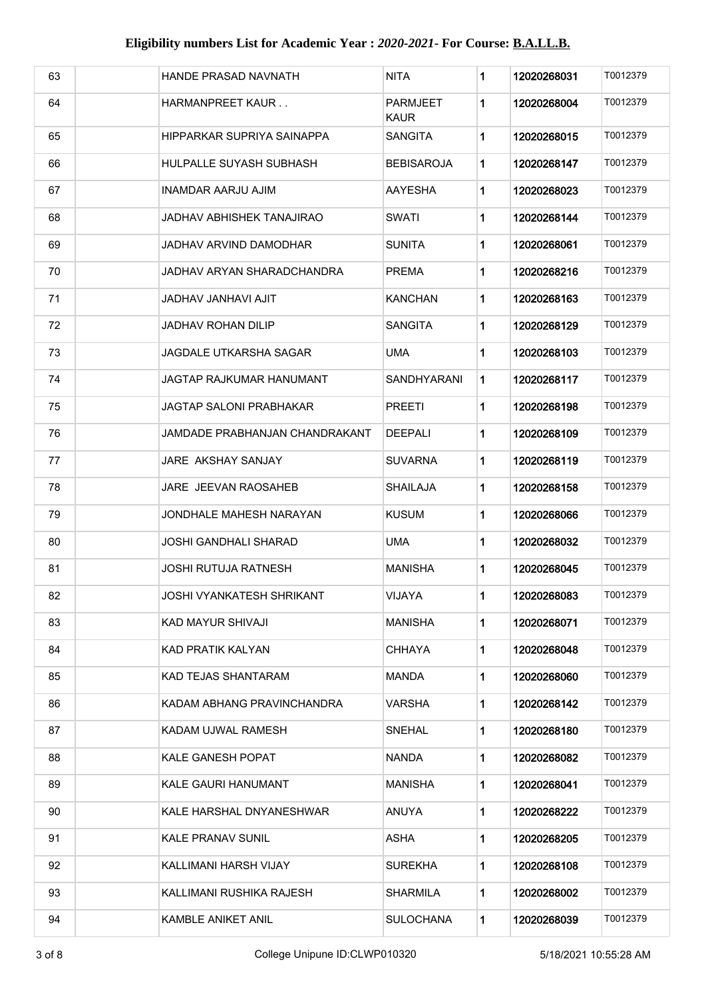| 63 | HANDE PRASAD NAVNATH           | <b>NITA</b>                    | 1 | 12020268031 | T0012379 |
|----|--------------------------------|--------------------------------|---|-------------|----------|
| 64 | HARMANPREET KAUR               | <b>PARMJEET</b><br><b>KAUR</b> | 1 | 12020268004 | T0012379 |
| 65 | HIPPARKAR SUPRIYA SAINAPPA     | SANGITA                        | 1 | 12020268015 | T0012379 |
| 66 | HULPALLE SUYASH SUBHASH        | BEBISAROJA                     | 1 | 12020268147 | T0012379 |
| 67 | INAMDAR AARJU AJIM             | AAYESHA                        | 1 | 12020268023 | T0012379 |
| 68 | JADHAV ABHISHEK TANAJIRAO      | SWATI                          | 1 | 12020268144 | T0012379 |
| 69 | JADHAV ARVIND DAMODHAR         | SUNITA                         | 1 | 12020268061 | T0012379 |
| 70 | JADHAV ARYAN SHARADCHANDRA     | PREMA                          | 1 | 12020268216 | T0012379 |
| 71 | JADHAV JANHAVI AJIT            | KANCHAN                        | 1 | 12020268163 | T0012379 |
| 72 | <b>JADHAV ROHAN DILIP</b>      | SANGITA                        | 1 | 12020268129 | T0012379 |
| 73 | <b>JAGDALE UTKARSHA SAGAR</b>  | <b>UMA</b>                     | 1 | 12020268103 | T0012379 |
| 74 | JAGTAP RAJKUMAR HANUMANT       | SANDHYARANI                    | 1 | 12020268117 | T0012379 |
| 75 | JAGTAP SALONI PRABHAKAR        | PREETI                         | 1 | 12020268198 | T0012379 |
| 76 | JAMDADE PRABHANJAN CHANDRAKANT | DEEPALI                        | 1 | 12020268109 | T0012379 |
| 77 | <b>JARE AKSHAY SANJAY</b>      | SUVARNA                        | 1 | 12020268119 | T0012379 |
| 78 | <b>JARE JEEVAN RAOSAHEB</b>    | <b>SHAILAJA</b>                | 1 | 12020268158 | T0012379 |
| 79 | JONDHALE MAHESH NARAYAN        | <b>KUSUM</b>                   | 1 | 12020268066 | T0012379 |
| 80 | <b>JOSHI GANDHALI SHARAD</b>   | <b>UMA</b>                     | 1 | 12020268032 | T0012379 |
| 81 | <b>JOSHI RUTUJA RATNESH</b>    | <b>MANISHA</b>                 | 1 | 12020268045 | T0012379 |
| 82 | JOSHI VYANKATESH SHRIKANT      | VIJAYA                         | 1 | 12020268083 | T0012379 |
| 83 | KAD MAYUR SHIVAJI              | <b>MANISHA</b>                 | 1 | 12020268071 | T0012379 |
| 84 | KAD PRATIK KALYAN              | <b>CHHAYA</b>                  | 1 | 12020268048 | T0012379 |
| 85 | KAD TEJAS SHANTARAM            | <b>MANDA</b>                   | 1 | 12020268060 | T0012379 |
| 86 | KADAM ABHANG PRAVINCHANDRA     | VARSHA                         | 1 | 12020268142 | T0012379 |
| 87 | KADAM UJWAL RAMESH             | <b>SNEHAL</b>                  | 1 | 12020268180 | T0012379 |
| 88 | KALE GANESH POPAT              | <b>NANDA</b>                   | 1 | 12020268082 | T0012379 |
| 89 | KALE GAURI HANUMANT            | <b>MANISHA</b>                 | 1 | 12020268041 | T0012379 |
| 90 | KALE HARSHAL DNYANESHWAR       | ANUYA                          | 1 | 12020268222 | T0012379 |
| 91 | <b>KALE PRANAV SUNIL</b>       | ASHA                           | 1 | 12020268205 | T0012379 |
| 92 | KALLIMANI HARSH VIJAY          | <b>SUREKHA</b>                 | 1 | 12020268108 | T0012379 |
| 93 | KALLIMANI RUSHIKA RAJESH       | <b>SHARMILA</b>                | 1 | 12020268002 | T0012379 |
| 94 | KAMBLE ANIKET ANIL             | <b>SULOCHANA</b>               | 1 | 12020268039 | T0012379 |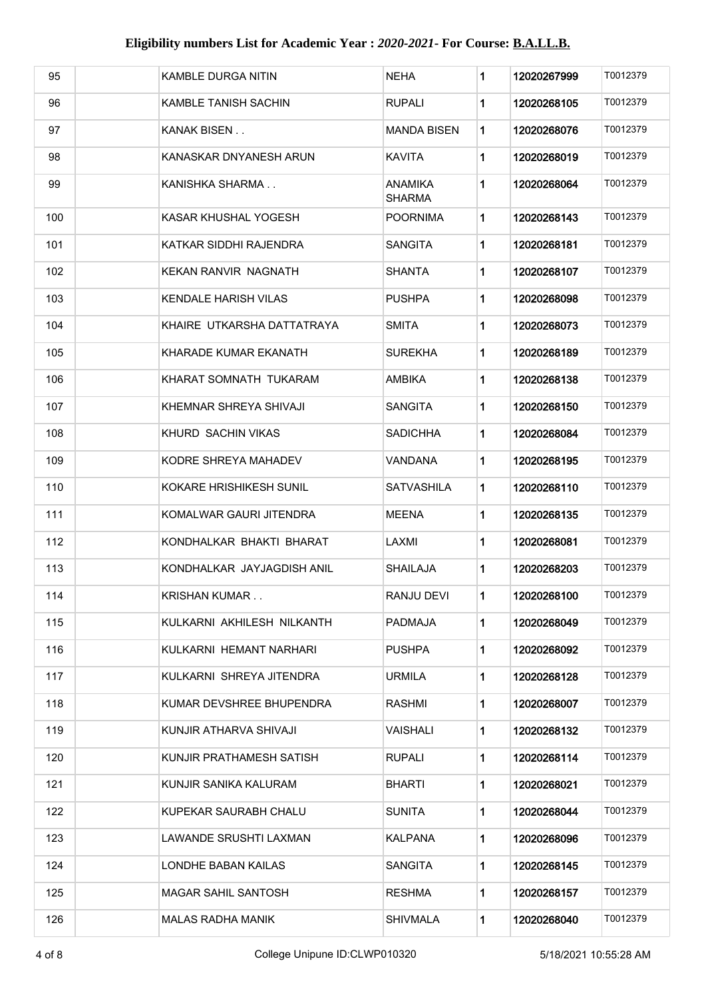| 95  |                      | KAMBLE DURGA NITIN          | <b>NEHA</b>              | 1            | 12020267999 | T0012379 |
|-----|----------------------|-----------------------------|--------------------------|--------------|-------------|----------|
| 96  |                      | KAMBLE TANISH SACHIN        | RUPALI                   | 1            | 12020268105 | T0012379 |
| 97  | KANAK BISEN          |                             | <b>MANDA BISEN</b>       | 1            | 12020268076 | T0012379 |
| 98  |                      | KANASKAR DNYANESH ARUN      | <b>KAVITA</b>            | 1            | 12020268019 | T0012379 |
| 99  |                      | KANISHKA SHARMA             | ANAMIKA<br><b>SHARMA</b> | 1            | 12020268064 | T0012379 |
| 100 |                      | KASAR KHUSHAL YOGESH        | POORNIMA                 | 1            | 12020268143 | T0012379 |
| 101 |                      | KATKAR SIDDHI RAJENDRA      | <b>SANGITA</b>           | 1            | 12020268181 | T0012379 |
| 102 |                      | KEKAN RANVIR NAGNATH        | SHANTA                   | 1            | 12020268107 | T0012379 |
| 103 |                      | <b>KENDALE HARISH VILAS</b> | PUSHPA                   | 1            | 12020268098 | T0012379 |
| 104 |                      | KHAIRE UTKARSHA DATTATRAYA  | <b>SMITA</b>             | 1            | 12020268073 | T0012379 |
| 105 |                      | KHARADE KUMAR EKANATH       | SUREKHA                  | 1            | 12020268189 | T0012379 |
| 106 |                      | KHARAT SOMNATH TUKARAM      | AMBIKA                   | 1            | 12020268138 | T0012379 |
| 107 |                      | KHEMNAR SHREYA SHIVAJI      | SANGITA                  | 1            | 12020268150 | T0012379 |
| 108 |                      | KHURD SACHIN VIKAS          | SADICHHA                 | 1            | 12020268084 | T0012379 |
| 109 |                      | KODRE SHREYA MAHADEV        | VANDANA                  | 1            | 12020268195 | T0012379 |
| 110 |                      | KOKARE HRISHIKESH SUNIL     | <b>SATVASHILA</b>        | 1            | 12020268110 | T0012379 |
| 111 |                      | KOMALWAR GAURI JITENDRA     | <b>MEENA</b>             | 1            | 12020268135 | T0012379 |
| 112 |                      | KONDHALKAR BHAKTI BHARAT    | LAXMI                    | 1            | 12020268081 | T0012379 |
| 113 |                      | KONDHALKAR JAYJAGDISH ANIL  | SHAILAJA                 | 1            | 12020268203 | T0012379 |
| 114 | <b>KRISHAN KUMAR</b> |                             | RANJU DEVI               | $\mathbf{1}$ | 12020268100 | T0012379 |
| 115 |                      | KULKARNI AKHILESH NILKANTH  | PADMAJA                  | 1            | 12020268049 | T0012379 |
| 116 |                      | KULKARNI HEMANT NARHARI     | <b>PUSHPA</b>            | 1            | 12020268092 | T0012379 |
| 117 |                      | KULKARNI SHREYA JITENDRA    | <b>URMILA</b>            | 1            | 12020268128 | T0012379 |
| 118 |                      | KUMAR DEVSHREE BHUPENDRA    | RASHMI                   | 1            | 12020268007 | T0012379 |
| 119 |                      | KUNJIR ATHARVA SHIVAJI      | VAISHALI                 | 1            | 12020268132 | T0012379 |
| 120 |                      | KUNJIR PRATHAMESH SATISH    | <b>RUPALI</b>            | 1            | 12020268114 | T0012379 |
| 121 |                      | KUNJIR SANIKA KALURAM       | <b>BHARTI</b>            | 1            | 12020268021 | T0012379 |
| 122 |                      | KUPEKAR SAURABH CHALU       | <b>SUNITA</b>            | 1            | 12020268044 | T0012379 |
| 123 |                      | LAWANDE SRUSHTI LAXMAN      | KALPANA                  | 1            | 12020268096 | T0012379 |
| 124 |                      | LONDHE BABAN KAILAS         | SANGITA                  | 1            | 12020268145 | T0012379 |
| 125 |                      | <b>MAGAR SAHIL SANTOSH</b>  | <b>RESHMA</b>            | 1            | 12020268157 | T0012379 |
| 126 |                      | <b>MALAS RADHA MANIK</b>    | <b>SHIVMALA</b>          | 1            | 12020268040 | T0012379 |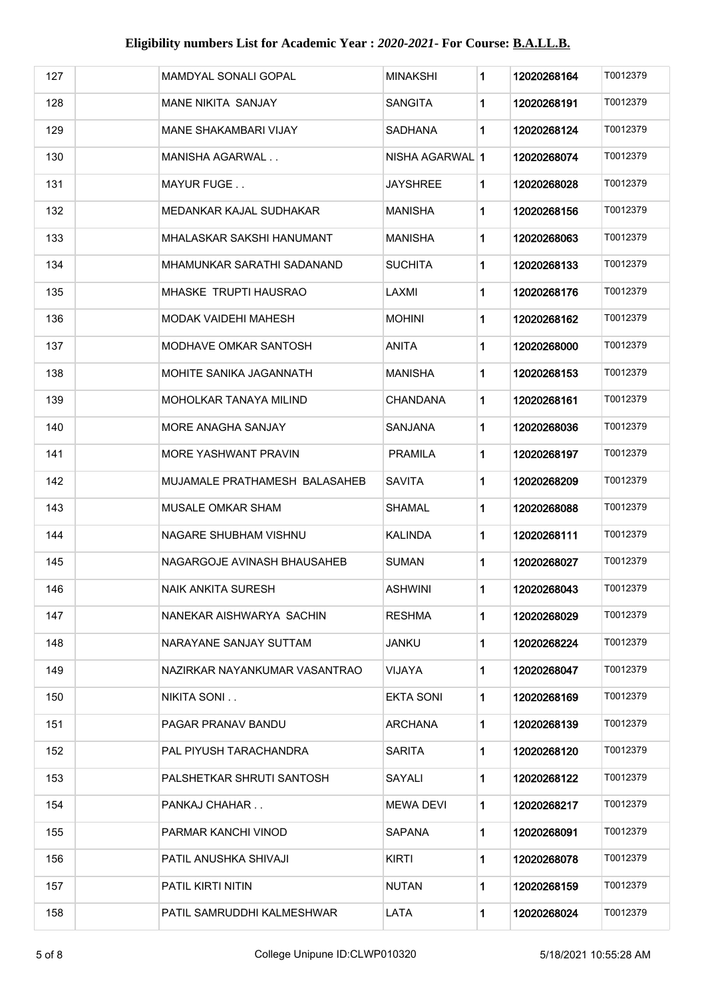| 127 | MAMDYAL SONALI GOPAL          | MINAKSHI                 | 1           | 12020268164 | T0012379 |
|-----|-------------------------------|--------------------------|-------------|-------------|----------|
| 128 | MANE NIKITA SANJAY            | <b>SANGITA</b>           | 1           | 12020268191 | T0012379 |
| 129 | <b>MANE SHAKAMBARI VIJAY</b>  | SADHANA                  | 1           | 12020268124 | T0012379 |
| 130 | MANISHA AGARWAL               | NISHA AGARWAL   <b>1</b> |             | 12020268074 | T0012379 |
| 131 | MAYUR FUGE                    | JAYSHREE                 | 1           | 12020268028 | T0012379 |
| 132 | MEDANKAR KAJAL SUDHAKAR       | MANISHA                  | 1           | 12020268156 | T0012379 |
| 133 | MHALASKAR SAKSHI HANUMANT     | <b>MANISHA</b>           | 1           | 12020268063 | T0012379 |
| 134 | MHAMUNKAR SARATHI SADANAND    | SUCHITA                  | 1           | 12020268133 | T0012379 |
| 135 | <b>MHASKE TRUPTI HAUSRAO</b>  | LAXMI                    | 1           | 12020268176 | T0012379 |
| 136 | MODAK VAIDEHI MAHESH          | <b>MOHINI</b>            | 1           | 12020268162 | T0012379 |
| 137 | MODHAVE OMKAR SANTOSH         | <b>ANITA</b>             | 1           | 12020268000 | T0012379 |
| 138 | MOHITE SANIKA JAGANNATH       | <b>MANISHA</b>           | 1           | 12020268153 | T0012379 |
| 139 | MOHOLKAR TANAYA MILIND        | CHANDANA                 | 1           | 12020268161 | T0012379 |
| 140 | MORE ANAGHA SANJAY            | SANJANA                  | 1           | 12020268036 | T0012379 |
| 141 | <b>MORE YASHWANT PRAVIN</b>   | PRAMILA                  | 1           | 12020268197 | T0012379 |
| 142 | MUJAMALE PRATHAMESH BALASAHEB | <b>SAVITA</b>            | 1           | 12020268209 | T0012379 |
| 143 | <b>MUSALE OMKAR SHAM</b>      | SHAMAL                   | 1           | 12020268088 | T0012379 |
| 144 | NAGARE SHUBHAM VISHNU         | KALINDA                  | 1           | 12020268111 | T0012379 |
| 145 | NAGARGOJE AVINASH BHAUSAHEB   | SUMAN                    | 1           | 12020268027 | T0012379 |
| 146 | NAIK ANKITA SURESH            | ASHWINI                  | 1           | 12020268043 | T0012379 |
| 147 | NANEKAR AISHWARYA  SACHIN     | RESHMA                   | 1           | 12020268029 | T0012379 |
| 148 | NARAYANE SANJAY SUTTAM        | JANKU                    | $\mathbf 1$ | 12020268224 | T0012379 |
| 149 | NAZIRKAR NAYANKUMAR VASANTRAO | VIJAYA                   | 1           | 12020268047 | T0012379 |
| 150 | NIKITA SONI                   | EKTA SONI                | 1           | 12020268169 | T0012379 |
| 151 | PAGAR PRANAV BANDU            | ARCHANA                  | 1           | 12020268139 | T0012379 |
| 152 | PAL PIYUSH TARACHANDRA        | SARITA                   | 1           | 12020268120 | T0012379 |
| 153 | PALSHETKAR SHRUTI SANTOSH     | SAYALI                   | 1           | 12020268122 | T0012379 |
| 154 | PANKAJ CHAHAR                 | MEWA DEVI                | 1           | 12020268217 | T0012379 |
| 155 | PARMAR KANCHI VINOD           | SAPANA                   | 1           | 12020268091 | T0012379 |
| 156 | PATIL ANUSHKA SHIVAJI         | KIRTI                    | 1           | 12020268078 | T0012379 |
| 157 | <b>PATIL KIRTI NITIN</b>      | NUTAN                    | 1           | 12020268159 | T0012379 |
| 158 | PATIL SAMRUDDHI KALMESHWAR.   | LATA                     | 1           | 12020268024 | T0012379 |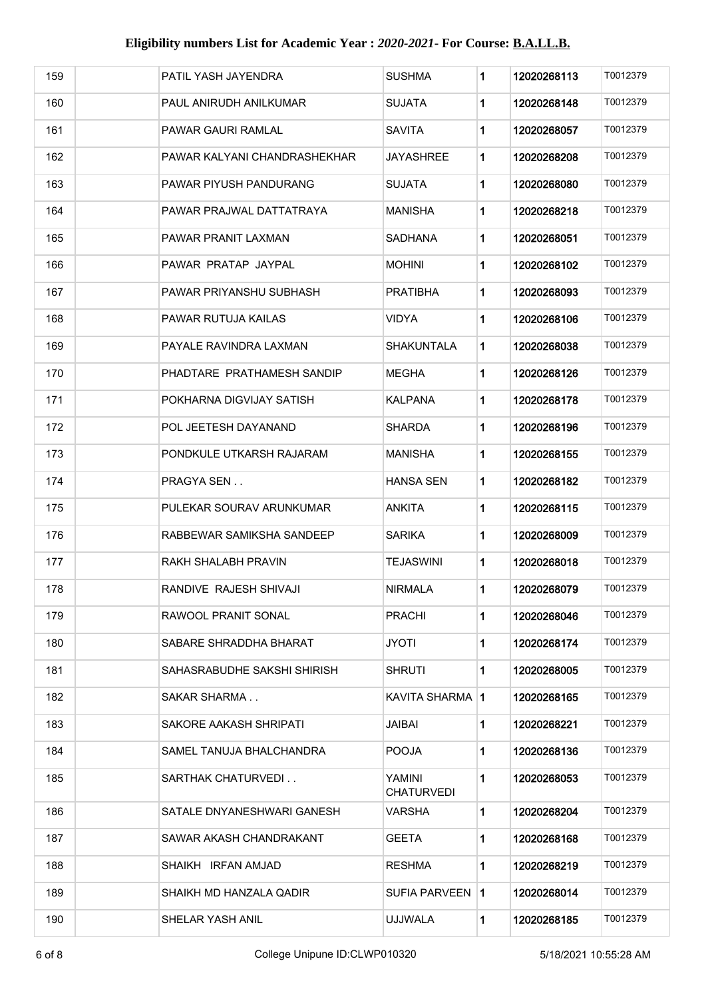| 159 | PATIL YASH JAYENDRA          | <b>SUSHMA</b>               | 1 | 12020268113 | T0012379 |
|-----|------------------------------|-----------------------------|---|-------------|----------|
| 160 | PAUL ANIRUDH ANILKUMAR       | SUJATA                      | 1 | 12020268148 | T0012379 |
| 161 | <b>PAWAR GAURI RAMLAL</b>    | <b>SAVITA</b>               | 1 | 12020268057 | T0012379 |
| 162 | PAWAR KALYANI CHANDRASHEKHAR | JAYASHREE                   | 1 | 12020268208 | T0012379 |
| 163 | PAWAR PIYUSH PANDURANG       | SUJATA                      | 1 | 12020268080 | T0012379 |
| 164 | PAWAR PRAJWAL DATTATRAYA     | MANISHA                     | 1 | 12020268218 | T0012379 |
| 165 | PAWAR PRANIT LAXMAN          | SADHANA                     | 1 | 12020268051 | T0012379 |
| 166 | PAWAR PRATAP JAYPAL          | MOHINI                      | 1 | 12020268102 | T0012379 |
| 167 | PAWAR PRIYANSHU SUBHASH      | <b>PRATIBHA</b>             | 1 | 12020268093 | T0012379 |
| 168 | PAWAR RUTUJA KAILAS          | VIDYA                       | 1 | 12020268106 | T0012379 |
| 169 | PAYALE RAVINDRA LAXMAN       | <b>SHAKUNTALA</b>           | 1 | 12020268038 | T0012379 |
| 170 | PHADTARE PRATHAMESH SANDIP   | MEGHA                       | 1 | 12020268126 | T0012379 |
| 171 | POKHARNA DIGVIJAY SATISH     | KALPANA                     | 1 | 12020268178 | T0012379 |
| 172 | POL JEETESH DAYANAND         | SHARDA                      | 1 | 12020268196 | T0012379 |
| 173 | PONDKULE UTKARSH RAJARAM     | MANISHA                     | 1 | 12020268155 | T0012379 |
| 174 | <b>PRAGYA SEN</b>            | HANSA SEN                   | 1 | 12020268182 | T0012379 |
| 175 | PULEKAR SOURAV ARUNKUMAR     | ANKITA                      | 1 | 12020268115 | T0012379 |
| 176 | RABBEWAR SAMIKSHA SANDEEP    | <b>SARIKA</b>               | 1 | 12020268009 | T0012379 |
| 177 | RAKH SHALABH PRAVIN          | <b>TEJASWINI</b>            | 1 | 12020268018 | T0012379 |
| 178 | RANDIVE RAJESH SHIVAJI       | <b>NIRMALA</b>              | 1 | 12020268079 | T0012379 |
| 179 | RAWOOL PRANIT SONAL          | PRACHI                      | 1 | 12020268046 | T0012379 |
| 180 | SABARE SHRADDHA BHARAT       | <b>JYOTI</b>                | 1 | 12020268174 | T0012379 |
| 181 | SAHASRABUDHE SAKSHI SHIRISH  | <b>SHRUTI</b>               | 1 | 12020268005 | T0012379 |
| 182 | SAKAR SHARMA                 | KAVITA SHARMA   1           |   | 12020268165 | T0012379 |
| 183 | SAKORE AAKASH SHRIPATI       | JAIBAI                      | 1 | 12020268221 | T0012379 |
| 184 | SAMEL TANUJA BHALCHANDRA     | POOJA                       | 1 | 12020268136 | T0012379 |
| 185 | SARTHAK CHATURVEDI           | YAMINI<br><b>CHATURVEDI</b> | 1 | 12020268053 | T0012379 |
| 186 | SATALE DNYANESHWARI GANESH   | VARSHA                      | 1 | 12020268204 | T0012379 |
| 187 | SAWAR AKASH CHANDRAKANT      | GEETA                       | 1 | 12020268168 | T0012379 |
| 188 | SHAIKH IRFAN AMJAD           | <b>RESHMA</b>               | 1 | 12020268219 | T0012379 |
| 189 | SHAIKH MD HANZALA QADIR      | SUFIA PARVEEN 11            |   | 12020268014 | T0012379 |
| 190 | SHELAR YASH ANIL             | <b>UJJWALA</b>              | 1 | 12020268185 | T0012379 |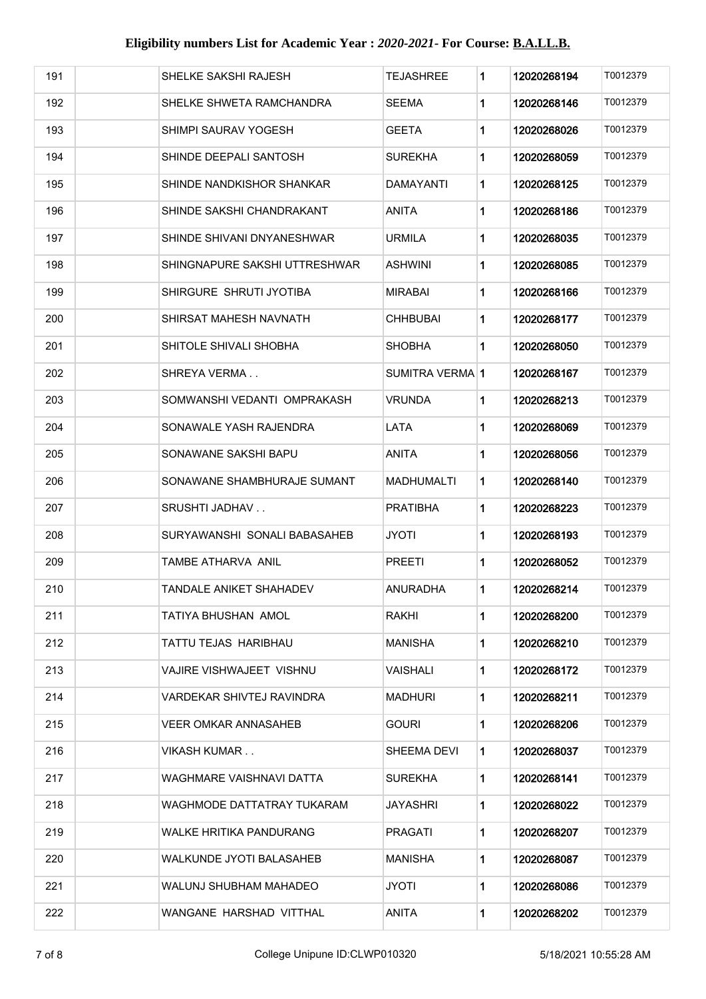| 191 | SHELKE SAKSHI RAJESH           | TEJASHREE       | 1 | 12020268194 | T0012379 |
|-----|--------------------------------|-----------------|---|-------------|----------|
| 192 | SHELKE SHWETA RAMCHANDRA       | SEEMA           | 1 | 12020268146 | T0012379 |
| 193 | SHIMPI SAURAV YOGESH           | <b>GEETA</b>    | 1 | 12020268026 | T0012379 |
| 194 | SHINDE DEEPALI SANTOSH         | SUREKHA         | 1 | 12020268059 | T0012379 |
| 195 | SHINDE NANDKISHOR SHANKAR      | DAMAYANTI       | 1 | 12020268125 | T0012379 |
| 196 | SHINDE SAKSHI CHANDRAKANT      | ANITA           | 1 | 12020268186 | T0012379 |
| 197 | SHINDE SHIVANI DNYANESHWAR     | URMILA          | 1 | 12020268035 | T0012379 |
| 198 | SHINGNAPURE SAKSHI UTTRESHWAR  | ASHWINI         | 1 | 12020268085 | T0012379 |
| 199 | SHIRGURE SHRUTI JYOTIBA        | MIRABAI         | 1 | 12020268166 | T0012379 |
| 200 | SHIRSAT MAHESH NAVNATH         | CHHBUBAI        | 1 | 12020268177 | T0012379 |
| 201 | SHITOLE SHIVALI SHOBHA         | <b>SHOBHA</b>   | 1 | 12020268050 | T0012379 |
| 202 | SHREYA VERMA                   | SUMITRA VERMA 1 |   | 12020268167 | T0012379 |
| 203 | SOMWANSHI VEDANTI OMPRAKASH    | <b>VRUNDA</b>   | 1 | 12020268213 | T0012379 |
| 204 | SONAWALE YASH RAJENDRA         | LATA            | 1 | 12020268069 | T0012379 |
| 205 | SONAWANE SAKSHI BAPU           | ANITA           | 1 | 12020268056 | T0012379 |
| 206 | SONAWANE SHAMBHURAJE SUMANT    | MADHUMALTI      | 1 | 12020268140 | T0012379 |
| 207 | SRUSHTI JADHAV                 | PRATIBHA        | 1 | 12020268223 | T0012379 |
| 208 | SURYAWANSHI SONALI BABASAHEB   | JYOTI           | 1 | 12020268193 | T0012379 |
| 209 | TAMBE ATHARVA ANIL             | PREETI          | 1 | 12020268052 | T0012379 |
| 210 | TANDALE ANIKET SHAHADEV        | ANURADHA        | 1 | 12020268214 | T0012379 |
| 211 | TATIYA BHUSHAN AMOL            | RAKHI           | 1 | 12020268200 | T0012379 |
| 212 | <b>TATTU TEJAS HARIBHAU</b>    | <b>MANISHA</b>  | 1 | 12020268210 | T0012379 |
| 213 | VAJIRE VISHWAJEET VISHNU       | VAISHALI        | 1 | 12020268172 | T0012379 |
| 214 | VARDEKAR SHIVTEJ RAVINDRA      | MADHURI         | 1 | 12020268211 | T0012379 |
| 215 | VEER OMKAR ANNASAHEB           | gouri           | 1 | 12020268206 | T0012379 |
| 216 | VIKASH KUMAR                   | SHEEMA DEVI     | 1 | 12020268037 | T0012379 |
| 217 | WAGHMARE VAISHNAVI DATTA       | SUREKHA         | 1 | 12020268141 | T0012379 |
| 218 | WAGHMODE DATTATRAY TUKARAM     | JAYASHRI        | 1 | 12020268022 | T0012379 |
| 219 | <b>WALKE HRITIKA PANDURANG</b> | PRAGATI         | 1 | 12020268207 | T0012379 |
| 220 | WALKUNDE JYOTI BALASAHEB       | <b>MANISHA</b>  | 1 | 12020268087 | T0012379 |
| 221 | WALUNJ SHUBHAM MAHADEO         | JYOTI           | 1 | 12020268086 | T0012379 |
| 222 | WANGANE HARSHAD VITTHAL        | <b>ANITA</b>    | 1 | 12020268202 | T0012379 |